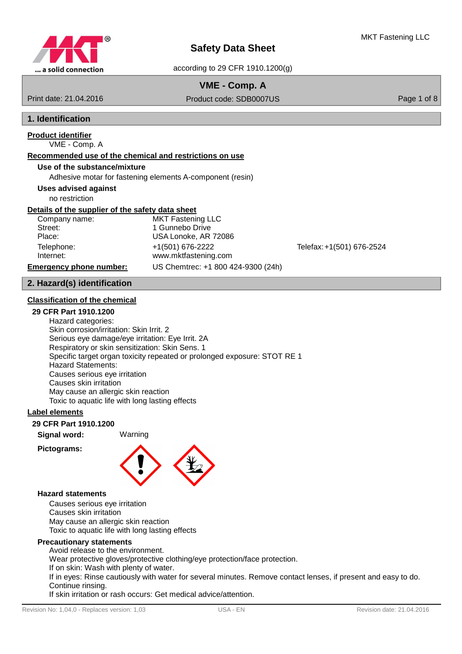

# **VME - Comp. A**

Print date: 21.04.2016 Product code: SDB0007US Product context and product code: SDB0007US Page 1 of 8

# **1. Identification**

# **Product identifier**

# VME - Comp. A

## **Recommended use of the chemical and restrictions on use**

## **Use of the substance/mixture**

Adhesive motar for fastening elements A-component (resin)

**Uses advised against**

no restriction

## **Details of the supplier of the safety data sheet**

Company name: MKT Fastening LLC Street: 1 Gunnebo Drive Place: USA Lonoke, AR 72086 Telephone: +1(501) 676-2222 Telefax:+1(501) 676-2524 Internet: www.mktfastening.com **Emergency phone number:** US Chemtrec: +1 800 424-9300 (24h)

# **2. Hazard(s) identification**

## **Classification of the chemical**

## **29 CFR Part 1910.1200**

Hazard categories: Skin corrosion/irritation: Skin Irrit. 2 Serious eye damage/eye irritation: Eye Irrit. 2A Respiratory or skin sensitization: Skin Sens. 1 Specific target organ toxicity repeated or prolonged exposure: STOT RE 1 Hazard Statements: Causes serious eye irritation Causes skin irritation May cause an allergic skin reaction Toxic to aquatic life with long lasting effects

## **Label elements**

## **29 CFR Part 1910.1200**

**Signal word:** Warning

## **Pictograms:**



#### **Hazard statements**

Causes serious eye irritation Causes skin irritation May cause an allergic skin reaction Toxic to aquatic life with long lasting effects

#### **Precautionary statements**

Avoid release to the environment. Wear protective gloves/protective clothing/eye protection/face protection. If on skin: Wash with plenty of water. If in eyes: Rinse cautiously with water for several minutes. Remove contact lenses, if present and easy to do. Continue rinsing. If skin irritation or rash occurs: Get medical advice/attention.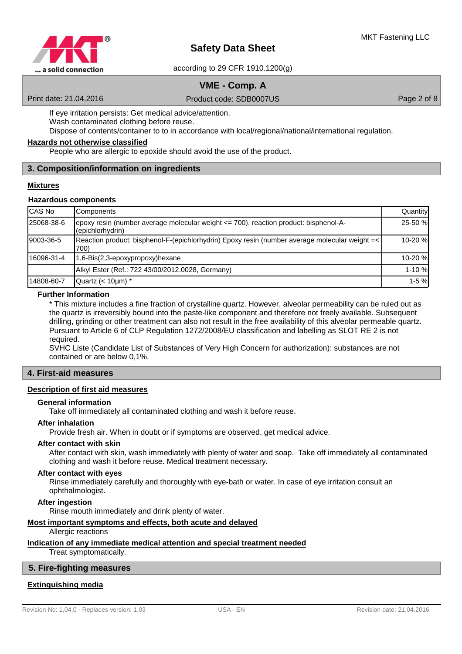

according to 29 CFR 1910.1200(g)

# **VME - Comp. A**

Print date: 21.04.2016 Product code: SDB0007US Product context and product code: SDB0007US Page 2 of 8

If eye irritation persists: Get medical advice/attention. Wash contaminated clothing before reuse.

Dispose of contents/container to to in accordance with local/regional/national/international regulation.

#### **Hazards not otherwise classified**

People who are allergic to epoxide should avoid the use of the product.

## **3. Composition/information on ingredients**

### **Mixtures**

## **Hazardous components**

| CAS No     | Components                                                                                               | Quantity |
|------------|----------------------------------------------------------------------------------------------------------|----------|
| 25068-38-6 | epoxy resin (number average molecular weight <= 700), reaction product: bisphenol-A-<br>(epichlorhydrin) | 25-50 %  |
| 9003-36-5  | Reaction product: bisphenol-F-(epichlorhydrin) Epoxy resin (number average molecular weight =<<br>700)   | 10-20 %  |
| 16096-31-4 | 1,6-Bis(2,3-epoxypropoxy)hexane                                                                          | 10-20 %  |
|            | Alkyl Ester (Ref.: 722 43/00/2012.0028, Germany)                                                         | 1-10 %   |
| 14808-60-7 | Quartz $(< 10 \mu m)^*$                                                                                  | $1-5%$   |

### **Further Information**

\* This mixture includes a fine fraction of crystalline quartz. However, alveolar permeability can be ruled out as the quartz is irreversibly bound into the paste-like component and therefore not freely available. Subsequent drilling, grinding or other treatment can also not result in the free availability of this alveolar permeable quartz. Pursuant to Article 6 of CLP Regulation 1272/2008/EU classification and labelling as SLOT RE 2 is not required.

SVHC Liste (Candidate List of Substances of Very High Concern for authorization): substances are not contained or are below 0,1%.

### **4. First-aid measures**

#### **Description of first aid measures**

#### **General information**

Take off immediately all contaminated clothing and wash it before reuse.

#### **After inhalation**

Provide fresh air. When in doubt or if symptoms are observed, get medical advice.

#### **After contact with skin**

After contact with skin, wash immediately with plenty of water and soap. Take off immediately all contaminated clothing and wash it before reuse. Medical treatment necessary.

#### **After contact with eyes**

Rinse immediately carefully and thoroughly with eye-bath or water. In case of eye irritation consult an ophthalmologist.

#### **After ingestion**

Rinse mouth immediately and drink plenty of water.

## **Most important symptoms and effects , both acute and delayed**

Allergic reactions

## **Indication of any immediate medical attention and special treatment needed**

Treat symptomatically.

#### **5. Fire-fighting measures**

## **Extinguishing media**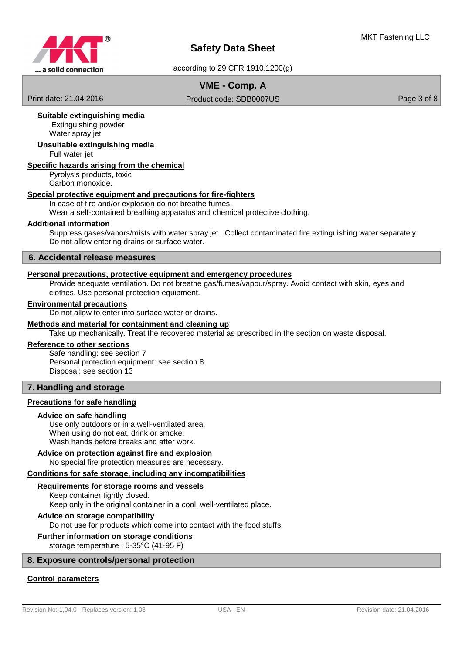

# **VME - Comp. A**

Print date: 21.04.2016 Product code: SDB0007US Product context and product code: SDB0007US Page 3 of 8

## **Suitable extinguishing media**

 Extinguishing powder Water spray jet

## **Unsuitable extinguishing media**

Full water jet

## **Specific hazards arising from the chemical**

Pyrolysis products, toxic Carbon monoxide.

#### **Special protective equipment and precautions for fire-fighters**

#### In case of fire and/or explosion do not breathe fumes.

Wear a self-contained breathing apparatus and chemical protective clothing.

#### **Additional information**

Suppress gases/vapors/mists with water spray jet. Collect contaminated fire extinguishing water separately. Do not allow entering drains or surface water.

#### **6. Accidental release measures**

#### **Personal precautions , protective equipment and emergency procedures**

Provide adequate ventilation. Do not breathe gas/fumes/vapour/spray. Avoid contact with skin, eyes and clothes. Use personal protection equipment.

### **Environmental precautions**

Do not allow to enter into surface water or drains.

#### **Methods and material for containment and cleaning up**

Take up mechanically. Treat the recovered material as prescribed in the section on waste disposal.

#### **Reference to other sections**

Safe handling: see section 7 Personal protection equipment: see section 8 Disposal: see section 13

## **7. Handling and storage**

#### **Precautions for safe handling**

#### **Advice on safe handling**

Use only outdoors or in a well-ventilated area. When using do not eat, drink or smoke. Wash hands before breaks and after work.

#### No special fire protection measures are necessary. **Advice on protection against fire and explosion**

#### **Conditions for safe storage, including any incompatibilities**

#### Keep container tightly closed. **Requirements for storage rooms and vessels**

Keep only in the original container in a cool, well-ventilated place.

## **Advice on storage compatibility**

Do not use for products which come into contact with the food stuffs.

#### **Further information on storage conditions**

storage temperature : 5-35°C (41-95 F)

#### **8. Exposure controls/personal protection**

#### **Control parameters**

Revision No: 1,04,0 - Replaces version: 1,03 USA - EN USA - EN Revision date: 21.04.2016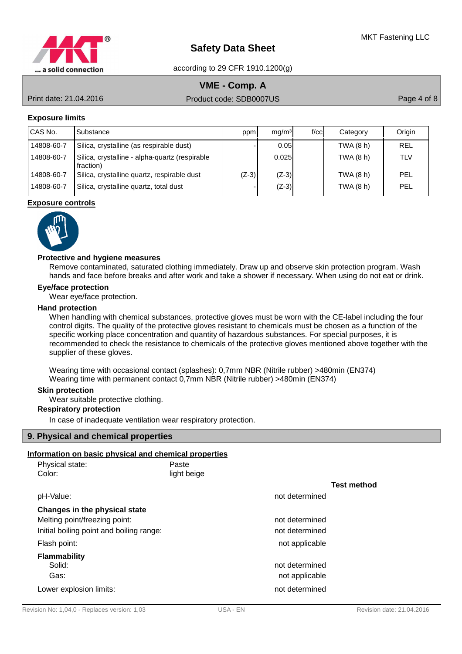

# **VME - Comp. A**

Print date: 21.04.2016 Product code: SDB0007US Product context and Product code: SDB0007US Page 4 of 8

## **Exposure limits**

| CAS No.    | Substance                                                   | ppm     | mq/m <sup>3</sup> | f/cc | Category  | Origin     |
|------------|-------------------------------------------------------------|---------|-------------------|------|-----------|------------|
| 14808-60-7 | Silica, crystalline (as respirable dust)                    |         | 0.05              |      | TWA (8 h) | REL        |
| 14808-60-7 | Silica, crystalline - alpha-quartz (respirable<br>fraction) |         | 0.025             |      | TWA (8 h) | <b>TLV</b> |
| 14808-60-7 | Silica, crystalline quartz, respirable dust                 | $(Z-3)$ | $(Z-3)$           |      | TWA (8 h) | PEL        |
| 14808-60-7 | Silica, crystalline quartz, total dust                      |         | $(Z-3)$           |      | TWA (8 h) | PEL        |

#### **Exposure controls**



#### **Protective and hygiene measures**

Remove contaminated, saturated clothing immediately. Draw up and observe skin protection program. Wash hands and face before breaks and after work and take a shower if necessary. When using do not eat or drink.

#### **Eye/face protection**

Wear eye/face protection.

#### **Hand protection**

When handling with chemical substances, protective gloves must be worn with the CE-label including the four control digits. The quality of the protective gloves resistant to chemicals must be chosen as a function of the specific working place concentration and quantity of hazardous substances. For special purposes, it is recommended to check the resistance to chemicals of the protective gloves mentioned above together with the supplier of these gloves.

Wearing time with occasional contact (splashes): 0,7mm NBR (Nitrile rubber) >480min (EN374) Wearing time with permanent contact 0,7mm NBR (Nitrile rubber) >480min (EN374)

#### **Skin protection**

Wear suitable protective clothing.

## **Respiratory protection**

In case of inadequate ventilation wear respiratory protection.

#### **9. Physical and chemical properties**

## **Information on basic physical and chemical properties**

| Physical state:                          | Paste       |                |                    |
|------------------------------------------|-------------|----------------|--------------------|
| Color:                                   | light beige |                |                    |
|                                          |             |                | <b>Test method</b> |
| pH-Value:                                |             | not determined |                    |
| Changes in the physical state            |             |                |                    |
| Melting point/freezing point:            |             | not determined |                    |
| Initial boiling point and boiling range: |             | not determined |                    |
| Flash point:                             |             | not applicable |                    |
| <b>Flammability</b>                      |             |                |                    |
| Solid:                                   |             | not determined |                    |
| Gas:                                     |             | not applicable |                    |
| Lower explosion limits:                  |             | not determined |                    |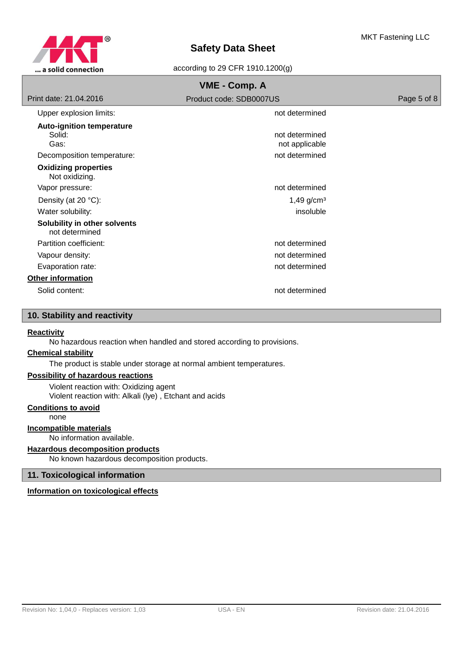

according to 29 CFR 1910.1200(g)

| VME - Comp. A                                                                    |                                                    |             |  |  |
|----------------------------------------------------------------------------------|----------------------------------------------------|-------------|--|--|
| Print date: 21.04.2016                                                           | Product code: SDB0007US                            | Page 5 of 8 |  |  |
| Upper explosion limits:                                                          | not determined                                     |             |  |  |
| <b>Auto-ignition temperature</b><br>Solid:<br>Gas:<br>Decomposition temperature: | not determined<br>not applicable<br>not determined |             |  |  |
| <b>Oxidizing properties</b><br>Not oxidizing.                                    |                                                    |             |  |  |
| Vapor pressure:                                                                  | not determined                                     |             |  |  |
| Density (at 20 °C):                                                              | $1,49$ g/cm <sup>3</sup>                           |             |  |  |
| Water solubility:                                                                | insoluble                                          |             |  |  |
| Solubility in other solvents<br>not determined                                   |                                                    |             |  |  |
| Partition coefficient:                                                           | not determined                                     |             |  |  |
| Vapour density:                                                                  | not determined                                     |             |  |  |
| Evaporation rate:                                                                | not determined                                     |             |  |  |
| <b>Other information</b>                                                         |                                                    |             |  |  |
| Solid content:                                                                   | not determined                                     |             |  |  |

# **10. Stability and reactivity**

## **Reactivity**

No hazardous reaction when handled and stored according to provisions.

## **Chemical stability**

The product is stable under storage at normal ambient temperatures.

## **Possibility of hazardous reactions**

Violent reaction with: Oxidizing agent Violent reaction with: Alkali (lye) , Etchant and acids

## **Conditions to avoid**

none

#### **Incompatible materials**

No information available.

## **Hazardous decomposition products**

No known hazardous decomposition products.

## **11. Toxicological information**

## **Information on toxicological effects**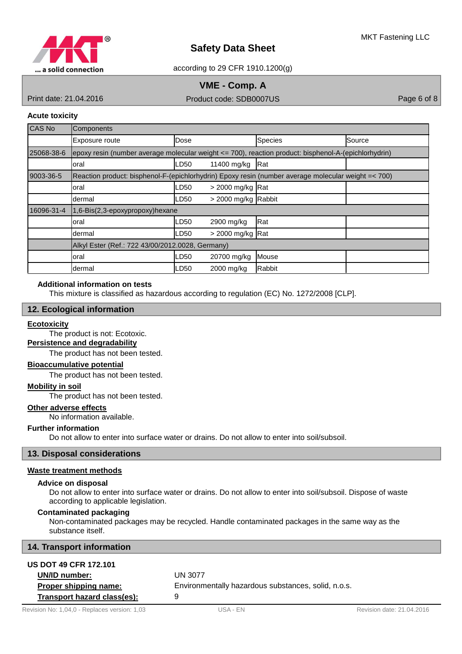

according to 29 CFR 1910.1200(g)

# **VME - Comp. A**

Print date: 21.04.2016 Product code: SDB0007US Product content of Product code: SDB0007US Page 6 of 8

## **Acute toxicity**

| <b>CAS No</b> | <b>Components</b>                                                                                    |      |                     |                |        |
|---------------|------------------------------------------------------------------------------------------------------|------|---------------------|----------------|--------|
|               | Exposure route                                                                                       | Dose |                     | <b>Species</b> | Source |
| 25068-38-6    | epoxy resin (number average molecular weight <= 700), reaction product: bisphenol-A-(epichlorhydrin) |      |                     |                |        |
|               | oral                                                                                                 | LD50 | 11400 mg/kg         | Rat            |        |
| 9003-36-5     | Reaction product: bisphenol-F-(epichlorhydrin) Epoxy resin (number average molecular weight =< 700)  |      |                     |                |        |
|               | oral                                                                                                 | LD50 | $>$ 2000 mg/kg Rat  |                |        |
|               | dermal                                                                                               | LD50 | > 2000 mg/kg Rabbit |                |        |
| 16096-31-4    | 1,6-Bis(2,3-epoxypropoxy)hexane                                                                      |      |                     |                |        |
|               | oral                                                                                                 | LD50 | 2900 mg/kg          | Rat            |        |
|               | dermal                                                                                               | .D50 | > 2000 mg/kg Rat    |                |        |
|               | Alkyl Ester (Ref.: 722 43/00/2012.0028, Germany)                                                     |      |                     |                |        |
|               | oral                                                                                                 | LD50 | 20700 mg/kg         | Mouse          |        |
|               | ldermal                                                                                              | LD50 | 2000 mg/kg          | Rabbit         |        |

## **Additional information on tests**

This mixture is classified as hazardous according to regulation (EC) No. 1272/2008 [CLP].

## **12. Ecological information**

#### **Ecotoxicity**

The product is not: Ecotoxic.

## **Persistence and degradability**

The product has not been tested.

## **Bioaccumulative potential**

The product has not been tested.

## **Mobility in soil**

The product has not been tested.

## **Other adverse effects**

No information available.

#### **Further information**

Do not allow to enter into surface water or drains. Do not allow to enter into soil/subsoil.

## **13. Disposal considerations**

#### **Waste treatment methods**

#### **Advice on disposal**

Do not allow to enter into surface water or drains. Do not allow to enter into soil/subsoil. Dispose of waste according to applicable legislation.

## **Contaminated packaging**

Non-contaminated packages may be recycled. Handle contaminated packages in the same way as the substance itself.

## **14. Transport information**

**US DOT 49 CFR 172.101**

| <b>US DOT 49 CFR 172.101</b> |                                                     |
|------------------------------|-----------------------------------------------------|
| UN/ID number:                | UN 3077                                             |
| Proper shipping name:        | Environmentally hazardous substances, solid, n.o.s. |
| Transport hazard class(es):  |                                                     |
|                              |                                                     |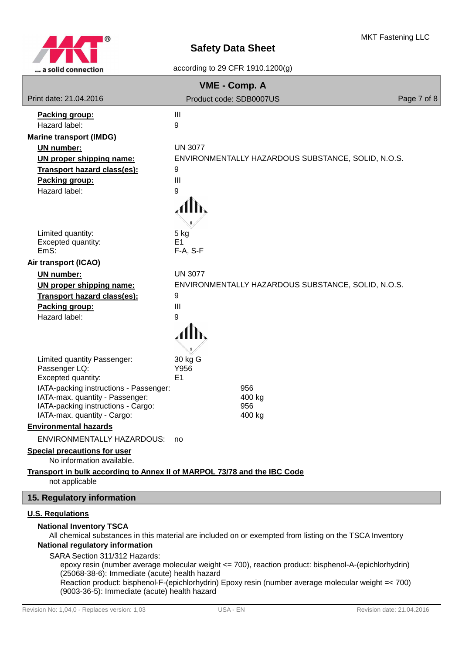

| VME - Comp. A                                                                                                                                                                                        |                                                                                                         |             |  |  |  |
|------------------------------------------------------------------------------------------------------------------------------------------------------------------------------------------------------|---------------------------------------------------------------------------------------------------------|-------------|--|--|--|
| Print date: 21.04.2016                                                                                                                                                                               | Product code: SDB0007US                                                                                 | Page 7 of 8 |  |  |  |
| Packing group:                                                                                                                                                                                       | Ш                                                                                                       |             |  |  |  |
| Hazard label:                                                                                                                                                                                        | 9                                                                                                       |             |  |  |  |
| <b>Marine transport (IMDG)</b>                                                                                                                                                                       |                                                                                                         |             |  |  |  |
| <b>UN number:</b>                                                                                                                                                                                    | <b>UN 3077</b>                                                                                          |             |  |  |  |
| UN proper shipping name:                                                                                                                                                                             | ENVIRONMENTALLY HAZARDOUS SUBSTANCE, SOLID, N.O.S.                                                      |             |  |  |  |
| <b>Transport hazard class(es):</b>                                                                                                                                                                   | 9                                                                                                       |             |  |  |  |
| Packing group:                                                                                                                                                                                       | III                                                                                                     |             |  |  |  |
| Hazard label:                                                                                                                                                                                        | 9                                                                                                       |             |  |  |  |
|                                                                                                                                                                                                      |                                                                                                         |             |  |  |  |
| Limited quantity:<br>Excepted quantity:<br>EmS:                                                                                                                                                      | 5 kg<br>E <sub>1</sub><br>F-A, S-F                                                                      |             |  |  |  |
| Air transport (ICAO)                                                                                                                                                                                 |                                                                                                         |             |  |  |  |
| <b>UN number:</b>                                                                                                                                                                                    | <b>UN 3077</b>                                                                                          |             |  |  |  |
| UN proper shipping name:                                                                                                                                                                             | ENVIRONMENTALLY HAZARDOUS SUBSTANCE, SOLID, N.O.S.                                                      |             |  |  |  |
| Transport hazard class(es):                                                                                                                                                                          | 9                                                                                                       |             |  |  |  |
| Packing group:                                                                                                                                                                                       | $\mathbf{III}$                                                                                          |             |  |  |  |
| Hazard label:                                                                                                                                                                                        | 9                                                                                                       |             |  |  |  |
|                                                                                                                                                                                                      |                                                                                                         |             |  |  |  |
| Limited quantity Passenger:<br>Passenger LQ:<br>Excepted quantity:                                                                                                                                   | 30 kg G<br>Y956<br>E <sub>1</sub>                                                                       |             |  |  |  |
| IATA-packing instructions - Passenger:                                                                                                                                                               | 956                                                                                                     |             |  |  |  |
| IATA-max. quantity - Passenger:<br>IATA-packing instructions - Cargo:                                                                                                                                | 400 kg<br>956                                                                                           |             |  |  |  |
| IATA-max. quantity - Cargo:                                                                                                                                                                          | 400 kg                                                                                                  |             |  |  |  |
| <b>Environmental hazards</b>                                                                                                                                                                         |                                                                                                         |             |  |  |  |
| ENVIRONMENTALLY HAZARDOUS: no                                                                                                                                                                        |                                                                                                         |             |  |  |  |
| <b>Special precautions for user</b>                                                                                                                                                                  |                                                                                                         |             |  |  |  |
| No information available.                                                                                                                                                                            |                                                                                                         |             |  |  |  |
| Transport in bulk according to Annex II of MARPOL 73/78 and the IBC Code<br>not applicable                                                                                                           |                                                                                                         |             |  |  |  |
| 15. Regulatory information                                                                                                                                                                           |                                                                                                         |             |  |  |  |
| <b>U.S. Regulations</b>                                                                                                                                                                              |                                                                                                         |             |  |  |  |
| <b>National Inventory TSCA</b><br><b>National regulatory information</b>                                                                                                                             | All chemical substances in this material are included on or exempted from listing on the TSCA Inventory |             |  |  |  |
| SARA Section 311/312 Hazards:                                                                                                                                                                        |                                                                                                         |             |  |  |  |
|                                                                                                                                                                                                      | epoxy resin (number average molecular weight <= 700), reaction product: bisphenol-A-(epichlorhydrin)    |             |  |  |  |
| (25068-38-6): Immediate (acute) health hazard<br>Reaction product: bisphenol-F-(epichlorhydrin) Epoxy resin (number average molecular weight =< 700)<br>(9003-36-5): Immediate (acute) health hazard |                                                                                                         |             |  |  |  |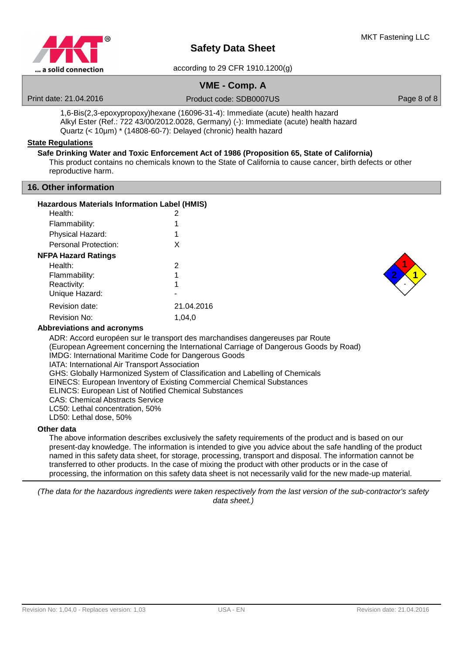

according to 29 CFR 1910.1200(g)

# **VME - Comp. A**

Print date: 21.04.2016 Product code: SDB0007US Product context and product code: SDB0007US Page 8 of 8

1,6-Bis(2,3-epoxypropoxy)hexane (16096-31-4): Immediate (acute) health hazard Alkyl Ester (Ref.: 722 43/00/2012.0028, Germany) (-): Immediate (acute) health hazard Quartz (< 10µm) \* (14808-60-7): Delayed (chronic) health hazard

### **State Regulations**

## **Safe Drinking Water and Toxic Enforcement Act of 1986 (Proposition 65, State of California)**

This product contains no chemicals known to the State of California to cause cancer, birth defects or other reproductive harm.

## **16. Other information**

|  |  | Hazardous Materials Information Label (HMIS) |  |  |  |
|--|--|----------------------------------------------|--|--|--|
|--|--|----------------------------------------------|--|--|--|

| Health:              | 2          |
|----------------------|------------|
| Flammability:        | 1          |
| Physical Hazard:     | 1          |
| Personal Protection: | X          |
| NFPA Hazard Ratings  |            |
| Health:              | 2          |
| Flammability:        | 1          |
| Reactivity:          | 1          |
| Unique Hazard:       |            |
| Revision date:       | 21.04.2016 |
| Revision No:         | 1,04,0     |
|                      |            |



## **Abbreviations and acronyms**

ADR: Accord européen sur le transport des marchandises dangereuses par Route (European Agreement concerning the International Carriage of Dangerous Goods by Road) IMDG: International Maritime Code for Dangerous Goods IATA: International Air Transport Association GHS: Globally Harmonized System of Classification and Labelling of Chemicals EINECS: European Inventory of Existing Commercial Chemical Substances ELINCS: European List of Notified Chemical Substances CAS: Chemical Abstracts Service LC50: Lethal concentration, 50% LD50: Lethal dose, 50%

### **Other data**

The above information describes exclusively the safety requirements of the product and is based on our present-day knowledge. The information is intended to give you advice about the safe handling of the product named in this safety data sheet, for storage, processing, transport and disposal. The information cannot be transferred to other products. In the case of mixing the product with other products or in the case of processing, the information on this safety data sheet is not necessarily valid for the new made-up material.

(The data for the hazardous ingredients were taken respectively from the last version of the sub-contractor's safety data sheet.)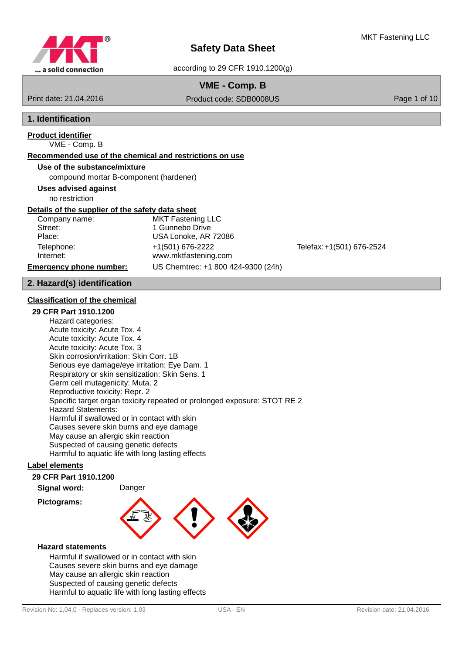

## **VME - Comp. B**

Print date: 21.04.2016 Product code: SDB0008US Product content of 10

# **1. Identification**

#### VME - Comp. B **Product identifier**

# **Recommended use of the chemical and restrictions on use**

## **Use of the substance/mixture**

compound mortar B-component (hardener)

## **Uses advised against**

no restriction

## **Details of the supplier of the safety data sheet**

| Company nam |
|-------------|
| Street:     |
| Place:      |
| Telephone:  |
| Internet:   |
|             |

e: MKT Fastening LLC 1 Gunnebo Drive USA Lonoke, AR 72086 Telephone: +1(501) 676-2222 Telefax:+1(501) 676-2524 www.mktfastening.com **Emergency phone number:** US Chemtrec: +1 800 424-9300 (24h)

## **2. Hazard(s) identification**

## **Classification of the chemical**

## **29 CFR Part 1910.1200**

Hazard categories: Acute toxicity: Acute Tox. 4 Acute toxicity: Acute Tox. 4 Acute toxicity: Acute Tox. 3 Skin corrosion/irritation: Skin Corr. 1B Serious eye damage/eye irritation: Eye Dam. 1 Respiratory or skin sensitization: Skin Sens. 1 Germ cell mutagenicity: Muta. 2 Reproductive toxicity: Repr. 2 Specific target organ toxicity repeated or prolonged exposure: STOT RE 2 Hazard Statements: Harmful if swallowed or in contact with skin Causes severe skin burns and eye damage May cause an allergic skin reaction Suspected of causing genetic defects Harmful to aquatic life with long lasting effects

## **Label elements**

## **29 CFR Part 1910.1200**

**Signal word:** Danger

#### **Pictograms:**



### **Hazard statements**

Harmful if swallowed or in contact with skin Causes severe skin burns and eye damage May cause an allergic skin reaction Suspected of causing genetic defects Harmful to aquatic life with long lasting effects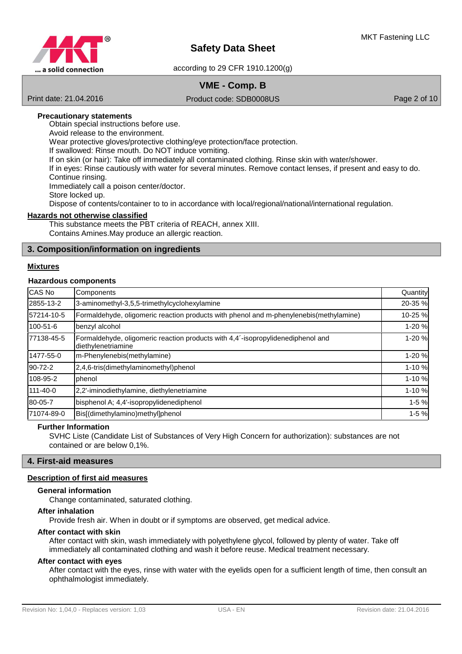

# **VME - Comp. B**

Print date: 21.04.2016 Product code: SDB0008US Product code: SDB0008US Page 2 of 10

### **Precautionary statements**

Obtain special instructions before use. Avoid release to the environment. Wear protective gloves/protective clothing/eye protection/face protection. If swallowed: Rinse mouth. Do NOT induce vomiting. If on skin (or hair): Take off immediately all contaminated clothing. Rinse skin with water/shower. If in eyes: Rinse cautiously with water for several minutes. Remove contact lenses, if present and easy to do. Continue rinsing. Immediately call a poison center/doctor. Store locked up. Dispose of contents/container to to in accordance with local/regional/national/international regulation.

## **Hazards not otherwise classified**

This substance meets the PBT criteria of REACH, annex XIII. Contains Amines.May produce an allergic reaction.

## **3. Composition/information on ingredients**

#### **Mixtures**

#### **Hazardous components**

| CAS No         | Components                                                                                            | Quantity  |
|----------------|-------------------------------------------------------------------------------------------------------|-----------|
| 2855-13-2      | 3-aminomethyl-3,5,5-trimethylcyclohexylamine                                                          | 20-35 %   |
| 57214-10-5     | Formaldehyde, oligomeric reaction products with phenol and m-phenylenebis(methylamine)                | 10-25 %   |
| 100-51-6       | benzyl alcohol                                                                                        | 1-20 %    |
| 77138-45-5     | Formaldehyde, oligomeric reaction products with 4,4'-isopropylidenediphenol and<br>diethylenetriamine | 1-20 %    |
| 1477-55-0      | m-Phenylenebis(methylamine)                                                                           | 1-20 %    |
| 90-72-2        | 2,4,6-tris(dimethylaminomethyl)phenol                                                                 | $1 - 10%$ |
| 108-95-2       | phenol                                                                                                | 1-10%     |
| $111 - 40 - 0$ | 2,2'-iminodiethylamine, diethylenetriamine                                                            | 1-10%     |
| 80-05-7        | bisphenol A; 4,4'-isopropylidenediphenol                                                              | $1-5%$    |
| 71074-89-0     | Bis[(dimethylamino)methyl]phenol                                                                      | $1 - 5%$  |

#### **Further Information**

SVHC Liste (Candidate List of Substances of Very High Concern for authorization): substances are not contained or are below 0,1%.

#### **4. First-aid measures**

## **Description of first aid measures**

## **General information**

Change contaminated, saturated clothing.

## **After inhalation**

Provide fresh air. When in doubt or if symptoms are observed, get medical advice.

#### **After contact with skin**

After contact with skin, wash immediately with polyethylene glycol, followed by plenty of water. Take off immediately all contaminated clothing and wash it before reuse. Medical treatment necessary.

### **After contact with eyes**

After contact with the eyes, rinse with water with the eyelids open for a sufficient length of time, then consult an ophthalmologist immediately.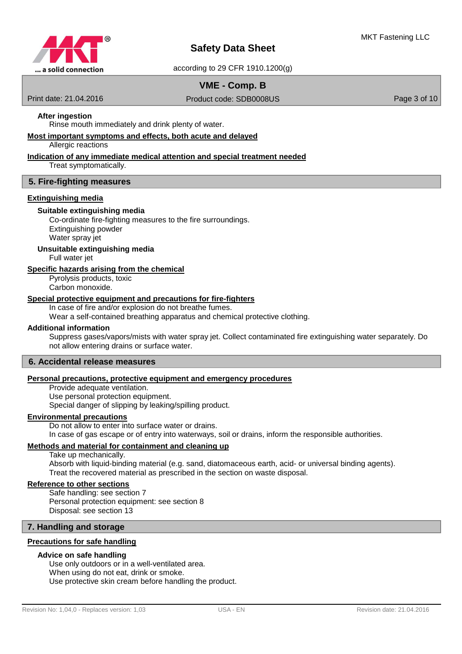

## **VME - Comp. B**

Print date: 21.04.2016 Product code: SDB0008US Product code: SDB0008US Page 3 of 10

## **After ingestion**

Rinse mouth immediately and drink plenty of water.

## **Most important symptoms and effects , both acute and delayed**

Allergic reactions

#### **Indication of any immediate medical attention and special treatment needed**

Treat symptomatically.

#### **5. Fire-fighting measures**

#### **Extinguishing media**

#### **Suitable extinguishing media**

Co-ordinate fire-fighting measures to the fire surroundings. Extinguishing powder Water spray jet

**Unsuitable extinguishing media**

Full water jet

### **Specific hazards arising from the chemical**

Pyrolysis products, toxic Carbon monoxide.

#### **Special protective equipment and precautions for fire - fighters**

In case of fire and/or explosion do not breathe fumes.

Wear a self-contained breathing apparatus and chemical protective clothing.

#### **Additional information**

Suppress gases/vapors/mists with water spray jet. Collect contaminated fire extinguishing water separately. Do not allow entering drains or surface water.

### **6. Accidental release measures**

### **Personal precautions , protective equipment and emergency procedures**

Provide adequate ventilation.

Use personal protection equipment.

Special danger of slipping by leaking/spilling product.

## **Environmental precautions**

Do not allow to enter into surface water or drains. In case of gas escape or of entry into waterways, soil or drains, inform the responsible authorities.

#### **Methods and material for containment and cleaning up**

Take up mechanically.

Absorb with liquid-binding material (e.g. sand, diatomaceous earth, acid- or universal binding agents). Treat the recovered material as prescribed in the section on waste disposal.

## **Reference to other sections**

Safe handling: see section 7 Personal protection equipment: see section 8 Disposal: see section 13

## **7. Handling and storage**

#### **Precautions for safe handling**

#### **Advice on safe handling**

Use only outdoors or in a well-ventilated area. When using do not eat, drink or smoke. Use protective skin cream before handling the product.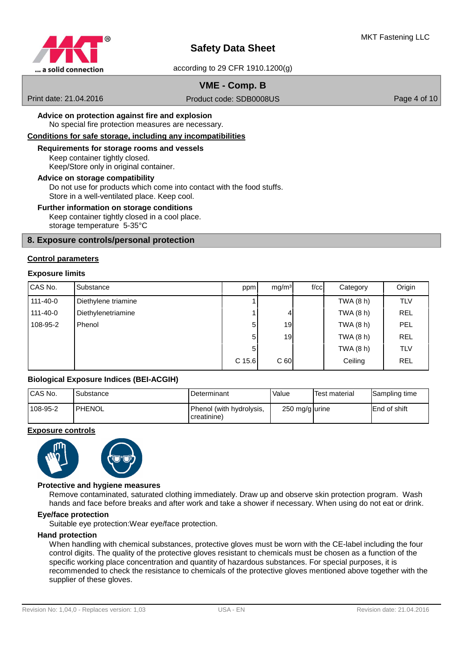

according to 29 CFR 1910.1200(g)

# **VME - Comp. B**

Print date: 21.04.2016 Product code: SDB0008US Product code: SDB0008US Page 4 of 10

No special fire protection measures are necessary. **Advice on protection against fire and explosion**

## Conditions for safe storage, including any incompatibilities

## Keep container tightly closed. **Requirements for storage rooms and vessels**

Keep/Store only in original container.

#### **Advice on storage compatibility**

Do not use for products which come into contact with the food stuffs. Store in a well-ventilated place. Keep cool.

#### **Further information on storage conditions**

Keep container tightly closed in a cool place. storage temperature 5-35°C

## **8. Exposure controls/personal protection**

#### **Control parameters**

#### **Exposure limits**

| CAS No.        | Substance           | ppm    | mg/m <sup>3</sup> | f/cc | Category    | Origin     |
|----------------|---------------------|--------|-------------------|------|-------------|------------|
| $111 - 40 - 0$ | Diethylene triamine |        |                   |      | TWA $(8 h)$ | <b>TLV</b> |
| $111 - 40 - 0$ | Diethylenetriamine  |        | 4                 |      | TWA $(8 h)$ | <b>REL</b> |
| 108-95-2       | Phenol              | 5      | 19                |      | TWA $(8 h)$ | PEL        |
|                |                     | 5      | 19                |      | TWA $(8 h)$ | <b>REL</b> |
|                |                     | 5      |                   |      | TWA $(8 h)$ | <b>TLV</b> |
|                |                     | C 15.6 | C <sub>60</sub>   |      | Ceiling     | <b>REL</b> |

## **Biological Exposure Indices (BEI-ACGIH)**

| CAS No.  | Substance     | <b>I</b> Determinant                    | Value          | Test material | Sampling time       |
|----------|---------------|-----------------------------------------|----------------|---------------|---------------------|
| 108-95-2 | <b>PHENOL</b> | Phenol (with hydrolysis,<br>creatinine) | 250 mg/g urine |               | <b>End of shift</b> |

#### **Exposure controls**



#### **Protective and hygiene measures**

Remove contaminated, saturated clothing immediately. Draw up and observe skin protection program. Wash hands and face before breaks and after work and take a shower if necessary. When using do not eat or drink.

#### **Eye/face protection**

Suitable eye protection:Wear eye/face protection.

#### **Hand protection**

When handling with chemical substances, protective gloves must be worn with the CE-label including the four control digits. The quality of the protective gloves resistant to chemicals must be chosen as a function of the specific working place concentration and quantity of hazardous substances. For special purposes, it is recommended to check the resistance to chemicals of the protective gloves mentioned above together with the supplier of these gloves.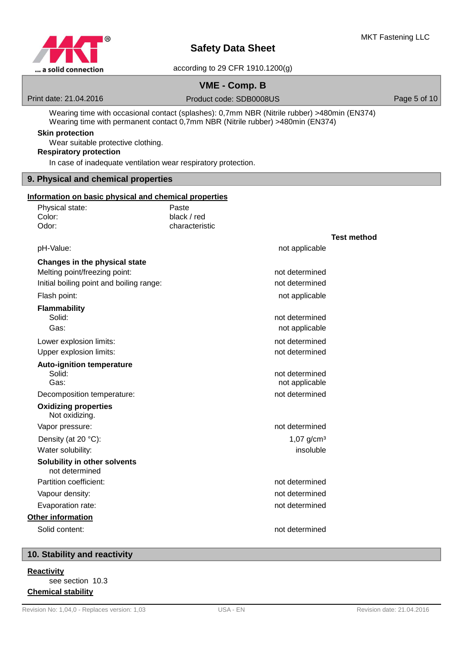

# **VME - Comp. B**

Print date: 21.04.2016 **Product code: SDB0008US** Product community Page 5 of 10

Wearing time with occasional contact (splashes): 0,7mm NBR (Nitrile rubber) >480min (EN374) Wearing time with permanent contact 0,7mm NBR (Nitrile rubber) >480min (EN374)

## **Skin protection**

Wear suitable protective clothing.

## **Respiratory protection**

In case of inadequate ventilation wear respiratory protection.

## **9. Physical and chemical properties**

# **Information on basic physical and chemical properties**

| Physical state:                                | Paste                    |                    |
|------------------------------------------------|--------------------------|--------------------|
| Color:                                         | black / red              |                    |
| Odor:                                          | characteristic           |                    |
|                                                |                          | <b>Test method</b> |
| pH-Value:                                      | not applicable           |                    |
| Changes in the physical state                  |                          |                    |
| Melting point/freezing point:                  | not determined           |                    |
| Initial boiling point and boiling range:       | not determined           |                    |
| Flash point:                                   | not applicable           |                    |
| <b>Flammability</b>                            |                          |                    |
| Solid:                                         | not determined           |                    |
| Gas:                                           | not applicable           |                    |
| Lower explosion limits:                        | not determined           |                    |
| Upper explosion limits:                        | not determined           |                    |
| <b>Auto-ignition temperature</b>               |                          |                    |
| Solid:                                         | not determined           |                    |
| Gas:                                           | not applicable           |                    |
| Decomposition temperature:                     | not determined           |                    |
| <b>Oxidizing properties</b><br>Not oxidizing.  |                          |                    |
| Vapor pressure:                                | not determined           |                    |
| Density (at 20 °C):                            | $1,07$ g/cm <sup>3</sup> |                    |
| Water solubility:                              | insoluble                |                    |
| Solubility in other solvents<br>not determined |                          |                    |
| Partition coefficient:                         | not determined           |                    |
| Vapour density:                                | not determined           |                    |
| Evaporation rate:                              | not determined           |                    |
| Other information                              |                          |                    |
| Solid content:                                 | not determined           |                    |
|                                                |                          |                    |

## **10. Stability and reactivity**

#### **Reactivity**

see section 10.3 **Chemical stability**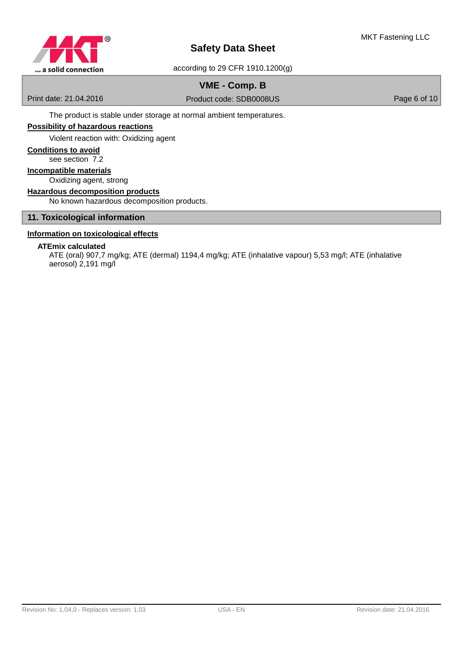

# **VME - Comp. B**

Print date: 21.04.2016 Product code: SDB0008US Product code: SDB0008US Page 6 of 10

The product is stable under storage at normal ambient temperatures.

## **Possibility of hazardous reactions**

Violent reaction with: Oxidizing agent

## **Conditions to avoid**

see section 7.2

### Oxidizing agent, strong **Incompatible materials**

## **Hazardous decomposition products**

No known hazardous decomposition products.

## **11. Toxicological information**

## **Information on toxicological effects**

## **ATEmix calculated**

ATE (oral) 907,7 mg/kg; ATE (dermal) 1194,4 mg/kg; ATE (inhalative vapour) 5,53 mg/l; ATE (inhalative aerosol) 2,191 mg/l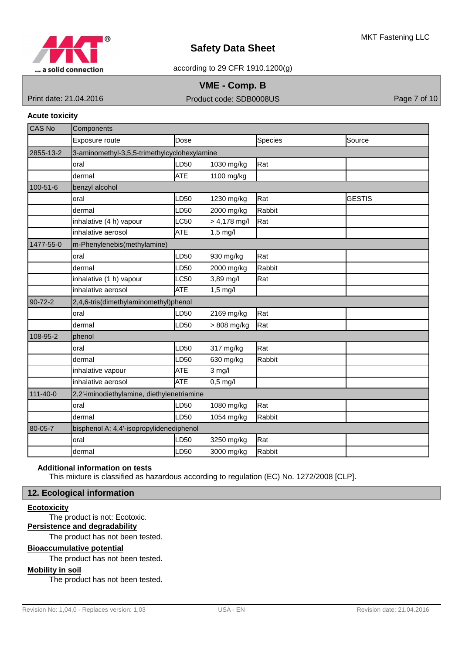

according to 29 CFR 1910.1200(g)

## **VME - Comp. B**

Print date: 21.04.2016 Product code: SDB0008US Product context of 10

### **Acute toxicity**

| <b>CAS No</b>  | Components                                   |            |                |         |               |
|----------------|----------------------------------------------|------------|----------------|---------|---------------|
|                | Exposure route                               | Dose       |                | Species | Source        |
| 2855-13-2      | 3-aminomethyl-3,5,5-trimethylcyclohexylamine |            |                |         |               |
|                | oral                                         | LD50       | 1030 mg/kg     | Rat     |               |
|                | dermal                                       | <b>ATE</b> | 1100 mg/kg     |         |               |
| 100-51-6       | benzyl alcohol                               |            |                |         |               |
|                | oral                                         | LD50       | 1230 mg/kg     | Rat     | <b>GESTIS</b> |
|                | dermal                                       | LD50       | 2000 mg/kg     | Rabbit  |               |
|                | inhalative (4 h) vapour                      | LC50       | $> 4,178$ mg/l | Rat     |               |
|                | inhalative aerosol                           | ATE        | $1,5$ mg/l     |         |               |
| 1477-55-0      | m-Phenylenebis(methylamine)                  |            |                |         |               |
|                | oral                                         | LD50       | 930 mg/kg      | Rat     |               |
|                | dermal                                       | LD50       | 2000 mg/kg     | Rabbit  |               |
|                | inhalative (1 h) vapour                      | LC50       | 3,89 mg/l      | Rat     |               |
|                | inhalative aerosol                           | ATE        | $1,5$ mg/l     |         |               |
| 90-72-2        | 2,4,6-tris(dimethylaminomethyl)phenol        |            |                |         |               |
|                | oral                                         | LD50       | 2169 mg/kg     | Rat     |               |
|                | dermal                                       | LD50       | > 808 mg/kg    | Rat     |               |
| 108-95-2       | phenol                                       |            |                |         |               |
|                | oral                                         | LD50       | 317 mg/kg      | Rat     |               |
|                | dermal                                       | LD50       | 630 mg/kg      | Rabbit  |               |
|                | inhalative vapour                            | ATE        | $3$ mg/l       |         |               |
|                | inhalative aerosol                           | <b>ATE</b> | $0,5$ mg/l     |         |               |
| $111 - 40 - 0$ | 2,2'-iminodiethylamine, diethylenetriamine   |            |                |         |               |
|                | oral                                         | LD50       | 1080 mg/kg     | Rat     |               |
|                | dermal                                       | LD50       | 1054 mg/kg     | Rabbit  |               |
| 80-05-7        | bisphenol A; 4,4'-isopropylidenediphenol     |            |                |         |               |
|                | oral                                         | LD50       | 3250 mg/kg     | Rat     |               |
|                | dermal                                       | LD50       | 3000 mg/kg     | Rabbit  |               |

## **Additional information on tests**

This mixture is classified as hazardous according to regulation (EC) No. 1272/2008 [CLP].

## **12. Ecological information**

## **Ecotoxicity**

The product is not: Ecotoxic.

# **Persistence and degradability**

The product has not been tested.

## **Bioaccumulative potential**

The product has not been tested.

## **Mobility in soil**

The product has not been tested.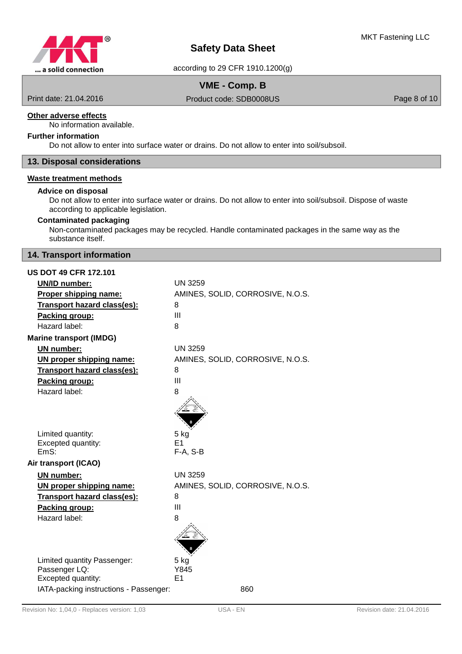

# **VME - Comp. B**

Print date: 21.04.2016 Product code: SDB0008US Product code: SDB0008US Page 8 of 10

## **Other adverse effects**

No information available.

## **Further information**

Do not allow to enter into surface water or drains. Do not allow to enter into soil/subsoil.

## **13. Disposal considerations**

## **Waste treatment methods**

## **Advice on disposal**

Do not allow to enter into surface water or drains. Do not allow to enter into soil/subsoil. Dispose of waste according to applicable legislation.

## **Contaminated packaging**

Non-contaminated packages may be recycled. Handle contaminated packages in the same way as the substance itself.

## **14. Transport information**

| <b>US DOT 49 CFR 172.101</b>           |                                  |  |  |  |  |
|----------------------------------------|----------------------------------|--|--|--|--|
| <b>UN/ID number:</b>                   | <b>UN 3259</b>                   |  |  |  |  |
| Proper shipping name:                  | AMINES, SOLID, CORROSIVE, N.O.S. |  |  |  |  |
| Transport hazard class(es):            | 8                                |  |  |  |  |
| Packing group:                         | III                              |  |  |  |  |
| Hazard label:                          | 8                                |  |  |  |  |
| <b>Marine transport (IMDG)</b>         |                                  |  |  |  |  |
| UN number:                             | <b>UN 3259</b>                   |  |  |  |  |
| UN proper shipping name:               | AMINES, SOLID, CORROSIVE, N.O.S. |  |  |  |  |
| Transport hazard class(es):            | 8                                |  |  |  |  |
| Packing group:                         | III                              |  |  |  |  |
| Hazard label:                          | 8                                |  |  |  |  |
|                                        |                                  |  |  |  |  |
| Limited quantity:                      | $5$ kg                           |  |  |  |  |
| Excepted quantity:                     | E <sub>1</sub>                   |  |  |  |  |
| EmS:                                   | $F-A, S-B$                       |  |  |  |  |
| Air transport (ICAO)                   |                                  |  |  |  |  |
| <b>UN number:</b>                      | <b>UN 3259</b>                   |  |  |  |  |
| UN proper shipping name:               | AMINES, SOLID, CORROSIVE, N.O.S. |  |  |  |  |
| Transport hazard class(es):            | 8                                |  |  |  |  |
| Packing group:                         | III                              |  |  |  |  |
| Hazard label:                          | 8                                |  |  |  |  |
|                                        |                                  |  |  |  |  |
| Limited quantity Passenger:            | 5 kg                             |  |  |  |  |
| Passenger LQ:                          | Y845                             |  |  |  |  |
| Excepted quantity:                     | E1                               |  |  |  |  |
| IATA-packing instructions - Passenger: | 860                              |  |  |  |  |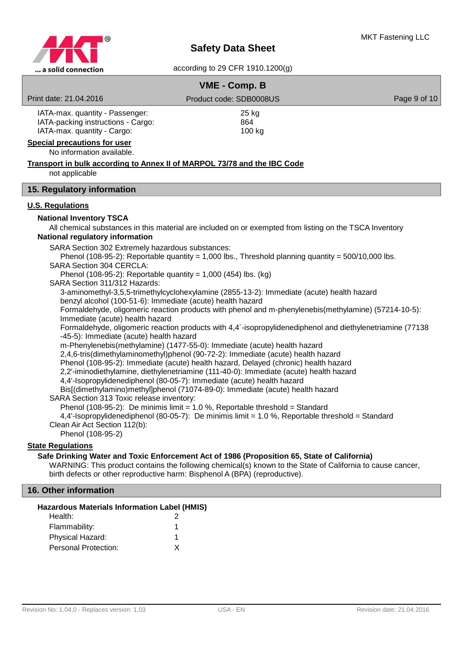

|                                                                                                                                                                                                                                                                                                                                                                                                                                                                                                                                                                                                                                                                                                                                                                                                                                                                                                                                                                                                                                                                                                                                                                                                                                                                                                                                                                                                                                                                                                                                                                                                                                                                                                                                                                              | VME - Comp. B           |              |  |  |  |  |
|------------------------------------------------------------------------------------------------------------------------------------------------------------------------------------------------------------------------------------------------------------------------------------------------------------------------------------------------------------------------------------------------------------------------------------------------------------------------------------------------------------------------------------------------------------------------------------------------------------------------------------------------------------------------------------------------------------------------------------------------------------------------------------------------------------------------------------------------------------------------------------------------------------------------------------------------------------------------------------------------------------------------------------------------------------------------------------------------------------------------------------------------------------------------------------------------------------------------------------------------------------------------------------------------------------------------------------------------------------------------------------------------------------------------------------------------------------------------------------------------------------------------------------------------------------------------------------------------------------------------------------------------------------------------------------------------------------------------------------------------------------------------------|-------------------------|--------------|--|--|--|--|
| Print date: 21.04.2016                                                                                                                                                                                                                                                                                                                                                                                                                                                                                                                                                                                                                                                                                                                                                                                                                                                                                                                                                                                                                                                                                                                                                                                                                                                                                                                                                                                                                                                                                                                                                                                                                                                                                                                                                       | Product code: SDB0008US | Page 9 of 10 |  |  |  |  |
| IATA-max. quantity - Passenger:<br>IATA-packing instructions - Cargo:<br>IATA-max. quantity - Cargo:<br><b>Special precautions for user</b><br>No information available.                                                                                                                                                                                                                                                                                                                                                                                                                                                                                                                                                                                                                                                                                                                                                                                                                                                                                                                                                                                                                                                                                                                                                                                                                                                                                                                                                                                                                                                                                                                                                                                                     | 25 kg<br>864<br>100 kg  |              |  |  |  |  |
| Transport in bulk according to Annex II of MARPOL 73/78 and the IBC Code                                                                                                                                                                                                                                                                                                                                                                                                                                                                                                                                                                                                                                                                                                                                                                                                                                                                                                                                                                                                                                                                                                                                                                                                                                                                                                                                                                                                                                                                                                                                                                                                                                                                                                     |                         |              |  |  |  |  |
| not applicable                                                                                                                                                                                                                                                                                                                                                                                                                                                                                                                                                                                                                                                                                                                                                                                                                                                                                                                                                                                                                                                                                                                                                                                                                                                                                                                                                                                                                                                                                                                                                                                                                                                                                                                                                               |                         |              |  |  |  |  |
| 15. Regulatory information                                                                                                                                                                                                                                                                                                                                                                                                                                                                                                                                                                                                                                                                                                                                                                                                                                                                                                                                                                                                                                                                                                                                                                                                                                                                                                                                                                                                                                                                                                                                                                                                                                                                                                                                                   |                         |              |  |  |  |  |
| <b>U.S. Regulations</b>                                                                                                                                                                                                                                                                                                                                                                                                                                                                                                                                                                                                                                                                                                                                                                                                                                                                                                                                                                                                                                                                                                                                                                                                                                                                                                                                                                                                                                                                                                                                                                                                                                                                                                                                                      |                         |              |  |  |  |  |
| <b>National Inventory TSCA</b><br>All chemical substances in this material are included on or exempted from listing on the TSCA Inventory<br>National regulatory information<br>SARA Section 302 Extremely hazardous substances:<br>Phenol (108-95-2): Reportable quantity = 1,000 lbs., Threshold planning quantity = $500/10,000$ lbs.<br><b>SARA Section 304 CERCLA:</b><br>Phenol (108-95-2): Reportable quantity = 1,000 (454) lbs. (kg)<br>SARA Section 311/312 Hazards:<br>3-aminomethyl-3,5,5-trimethylcyclohexylamine (2855-13-2): Immediate (acute) health hazard<br>benzyl alcohol (100-51-6): Immediate (acute) health hazard<br>Formaldehyde, oligomeric reaction products with phenol and m-phenylenebis(methylamine) (57214-10-5):<br>Immediate (acute) health hazard<br>Formaldehyde, oligomeric reaction products with 4,4'-isopropylidenediphenol and diethylenetriamine (77138<br>-45-5): Immediate (acute) health hazard<br>m-Phenylenebis(methylamine) (1477-55-0): Immediate (acute) health hazard<br>2,4,6-tris(dimethylaminomethyl)phenol (90-72-2): Immediate (acute) health hazard<br>Phenol (108-95-2): Immediate (acute) health hazard, Delayed (chronic) health hazard<br>2,2'-iminodiethylamine, diethylenetriamine (111-40-0): Immediate (acute) health hazard<br>4,4'-Isopropylidenediphenol (80-05-7): Immediate (acute) health hazard<br>Bis[(dimethylamino)methyl]phenol (71074-89-0): Immediate (acute) health hazard<br>SARA Section 313 Toxic release inventory:<br>Phenol (108-95-2): De minimis limit = 1.0 %, Reportable threshold = Standard<br>4,4'-Isopropylidenediphenol (80-05-7): De minimis limit = 1.0 %, Reportable threshold = Standard<br>Clean Air Act Section 112(b):<br>Phenol (108-95-2)<br><b>State Regulations</b> |                         |              |  |  |  |  |
| Safe Drinking Water and Toxic Enforcement Act of 1986 (Proposition 65, State of California)<br>WARNING: This product contains the following chemical(s) known to the State of California to cause cancer,<br>birth defects or other reproductive harm: Bisphenol A (BPA) (reproductive).                                                                                                                                                                                                                                                                                                                                                                                                                                                                                                                                                                                                                                                                                                                                                                                                                                                                                                                                                                                                                                                                                                                                                                                                                                                                                                                                                                                                                                                                                     |                         |              |  |  |  |  |
| 16. Other information                                                                                                                                                                                                                                                                                                                                                                                                                                                                                                                                                                                                                                                                                                                                                                                                                                                                                                                                                                                                                                                                                                                                                                                                                                                                                                                                                                                                                                                                                                                                                                                                                                                                                                                                                        |                         |              |  |  |  |  |
| <b>Hazardous Materials Information Label (HMIS)</b><br>Health:<br>Flammability:<br>Physical Hazard:<br><b>Personal Protection:</b>                                                                                                                                                                                                                                                                                                                                                                                                                                                                                                                                                                                                                                                                                                                                                                                                                                                                                                                                                                                                                                                                                                                                                                                                                                                                                                                                                                                                                                                                                                                                                                                                                                           | 2<br>X                  |              |  |  |  |  |